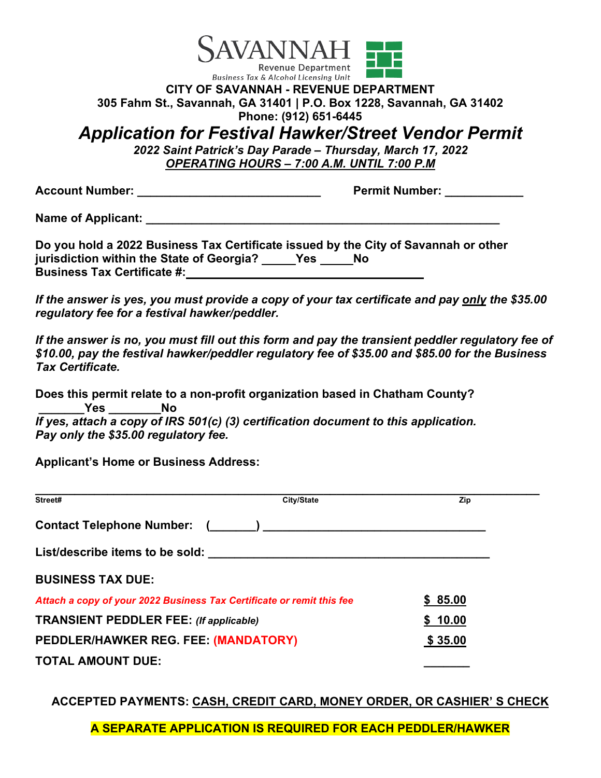

#### **CITY OF SAVANNAH - REVENUE DEPARTMENT 305 Fahm St., Savannah, GA 31401 | P.O. Box 1228, Savannah, GA 31402 Phone: (912) 651-6445**

# *Application for Festival Hawker/Street Vendor Permit*

*2022 Saint Patrick's Day Parade – Thursday, March 17, 2022 OPERATING HOURS – 7:00 A.M. UNTIL 7:00 P.M*

**Account Number: \_\_\_\_\_\_\_\_\_\_\_\_\_\_\_\_\_\_\_\_\_\_\_\_\_\_\_\_ Permit Number: \_\_\_\_\_\_\_\_\_\_\_\_**

**Name of Applicant:**  $\blacksquare$ 

**Do you hold a 2022 Business Tax Certificate issued by the City of Savannah or other**  jurisdiction within the State of Georgia? \_\_\_\_\_Yes \_\_\_\_\_No **Business Tax Certificate #:** 

*If the answer is yes, you must provide a copy of your tax certificate and pay only the \$35.00 regulatory fee for a festival hawker/peddler.*

*If the answer is no, you must fill out this form and pay the transient peddler regulatory fee of \$10.00, pay the festival hawker/peddler regulatory fee of \$35.00 and \$85.00 for the Business Tax Certificate.*

**Does this permit relate to a non-profit organization based in Chatham County? \_\_\_\_\_\_\_Yes \_\_\_\_\_\_\_\_No** *If yes, attach a copy of IRS 501(c) (3) certification document to this application. Pay only the \$35.00 regulatory fee.*

**Applicant's Home or Business Address:** 

| Street#                                                               | City/State | Zip     |
|-----------------------------------------------------------------------|------------|---------|
| <b>Contact Telephone Number:</b>                                      |            |         |
| List/describe items to be sold: the same state of the sold:           |            |         |
| <b>BUSINESS TAX DUE:</b>                                              |            |         |
| Attach a copy of your 2022 Business Tax Certificate or remit this fee |            | \$85.00 |
| <b>TRANSIENT PEDDLER FEE:</b> (If applicable)                         |            | \$10.00 |
| PEDDLER/HAWKER REG. FEE: (MANDATORY)                                  |            | \$35.00 |
| <b>TOTAL AMOUNT DUE:</b>                                              |            |         |

**ACCEPTED PAYMENTS: CASH, CREDIT CARD, MONEY ORDER, OR CASHIER' S CHECK**

**A SEPARATE APPLICATION IS REQUIRED FOR EACH PEDDLER/HAWKER**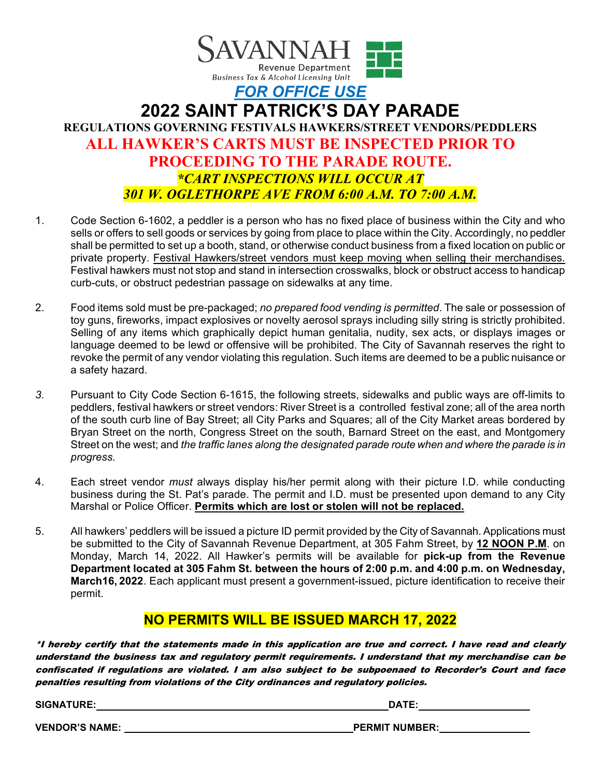

## **2022 SAINT PATRICK'S DAY PARADE REGULATIONS GOVERNING FESTIVALS HAWKERS/STREET VENDORS/PEDDLERS ALL HAWKER'S CARTS MUST BE INSPECTED PRIOR TO PROCEEDING TO THE PARADE ROUTE.** *\*CART INSPECTIONS WILL OCCUR AT 301 W. OGLETHORPE AVE FROM 6:00 A.M. TO 7:00 A.M.*

- 1. Code Section 6-1602, a peddler is a person who has no fixed place of business within the City and who sells or offers to sell goods or services by going from place to place within the City. Accordingly, no peddler shall be permitted to set up a booth, stand, or otherwise conduct business from a fixed location on public or private property. Festival Hawkers/street vendors must keep moving when selling their merchandises*.* Festival hawkers must not stop and stand in intersection crosswalks, block or obstruct access to handicap curb-cuts, or obstruct pedestrian passage on sidewalks at any time.
- 2. Food items sold must be pre-packaged; *no prepared food vending is permitted*. The sale or possession of toy guns, fireworks, impact explosives or novelty aerosol sprays including silly string is strictly prohibited. Selling of any items which graphically depict human genitalia, nudity, sex acts, or displays images or language deemed to be lewd or offensive will be prohibited. The City of Savannah reserves the right to revoke the permit of any vendor violating this regulation. Such items are deemed to be a public nuisance or a safety hazard.
- *3.* Pursuant to City Code Section 6-1615, the following streets, sidewalks and public ways are off-limits to peddlers, festival hawkers or street vendors: River Street is a controlled festival zone; all of the area north of the south curb line of Bay Street; all City Parks and Squares; all of the City Market areas bordered by Bryan Street on the north, Congress Street on the south, Barnard Street on the east, and Montgomery Street on the west; and *the traffic lanes along the designated parade route when and where the parade is in progress.*
- 4. Each street vendor *must* always display his/her permit along with their picture I.D. while conducting business during the St. Pat's parade. The permit and I.D. must be presented upon demand to any City Marshal or Police Officer. **Permits which are lost or stolen will not be replaced.**
- 5. All hawkers' peddlers will be issued a picture ID permit provided by the City of Savannah. Applications must be submitted to the City of Savannah Revenue Department, at 305 Fahm Street, by **12 NOON P.M**. on Monday, March 14, 2022. All Hawker's permits will be available for **pick-up from the Revenue Department located at 305 Fahm St. between the hours of 2:00 p.m. and 4:00 p.m. on Wednesday, March16, 2022**. Each applicant must present a government-issued, picture identification to receive their permit.

#### **NO PERMITS WILL BE ISSUED MARCH 17, 2022**

\*I hereby certify that the statements made in this application are true and correct. I have read and clearly understand the business tax and regulatory permit requirements. I understand that my merchandise can be confiscated if regulations are violated. I am also subject to be subpoenaed to Recorder's Court and face penalties resulting from violations of the City ordinances and regulatory policies.

**SIGNATURE: DATE:** 

**VENDOR'S NAME: PERMIT NUMBER:**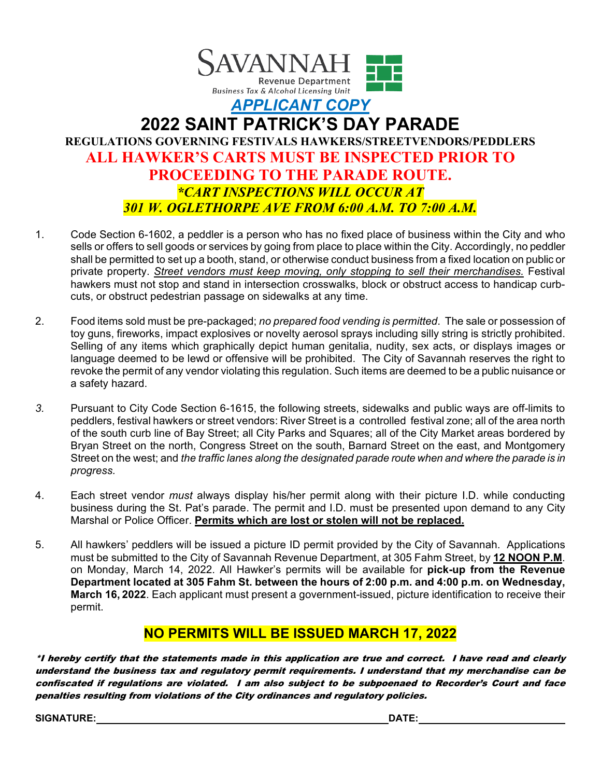

## **2022 SAINT PATRICK'S DAY PARADE REGULATIONS GOVERNING FESTIVALS HAWKERS/STREETVENDORS/PEDDLERS ALL HAWKER'S CARTS MUST BE INSPECTED PRIOR TO PROCEEDING TO THE PARADE ROUTE.** *\*CART INSPECTIONS WILL OCCUR AT 301 W. OGLETHORPE AVE FROM 6:00 A.M. TO 7:00 A.M.*

- 1. Code Section 6-1602, a peddler is a person who has no fixed place of business within the City and who sells or offers to sell goods or services by going from place to place within the City. Accordingly, no peddler shall be permitted to set up a booth, stand, or otherwise conduct business from a fixed location on public or private property. *Street vendors must keep moving, only stopping to sell their merchandises.* Festival hawkers must not stop and stand in intersection crosswalks, block or obstruct access to handicap curbcuts, or obstruct pedestrian passage on sidewalks at any time.
- 2. Food items sold must be pre-packaged; *no prepared food vending is permitted*. The sale or possession of toy guns, fireworks, impact explosives or novelty aerosol sprays including silly string is strictly prohibited. Selling of any items which graphically depict human genitalia, nudity, sex acts, or displays images or language deemed to be lewd or offensive will be prohibited. The City of Savannah reserves the right to revoke the permit of any vendor violating this regulation. Such items are deemed to be a public nuisance or a safety hazard.
- *3.* Pursuant to City Code Section 6-1615, the following streets, sidewalks and public ways are off-limits to peddlers, festival hawkers or street vendors: River Street is a controlled festival zone; all of the area north of the south curb line of Bay Street; all City Parks and Squares; all of the City Market areas bordered by Bryan Street on the north, Congress Street on the south, Barnard Street on the east, and Montgomery Street on the west; and *the traffic lanes along the designated parade route when and where the parade is in progress.*
- 4. Each street vendor *must* always display his/her permit along with their picture I.D. while conducting business during the St. Pat's parade. The permit and I.D. must be presented upon demand to any City Marshal or Police Officer. **Permits which are lost or stolen will not be replaced.**
- 5. All hawkers' peddlers will be issued a picture ID permit provided by the City of Savannah. Applications must be submitted to the City of Savannah Revenue Department, at 305 Fahm Street, by **12 NOON P.M**. on Monday, March 14, 2022. All Hawker's permits will be available for **pick-up from the Revenue Department located at 305 Fahm St. between the hours of 2:00 p.m. and 4:00 p.m. on Wednesday, March 16, 2022**. Each applicant must present a government-issued, picture identification to receive their permit.

### **NO PERMITS WILL BE ISSUED MARCH 17, 2022**

\*I hereby certify that the statements made in this application are true and correct. I have read and clearly understand the business tax and regulatory permit requirements. I understand that my merchandise can be confiscated if regulations are violated. I am also subject to be subpoenaed to Recorder's Court and face penalties resulting from violations of the City ordinances and regulatory policies.

**SIGNATURE: DATE:**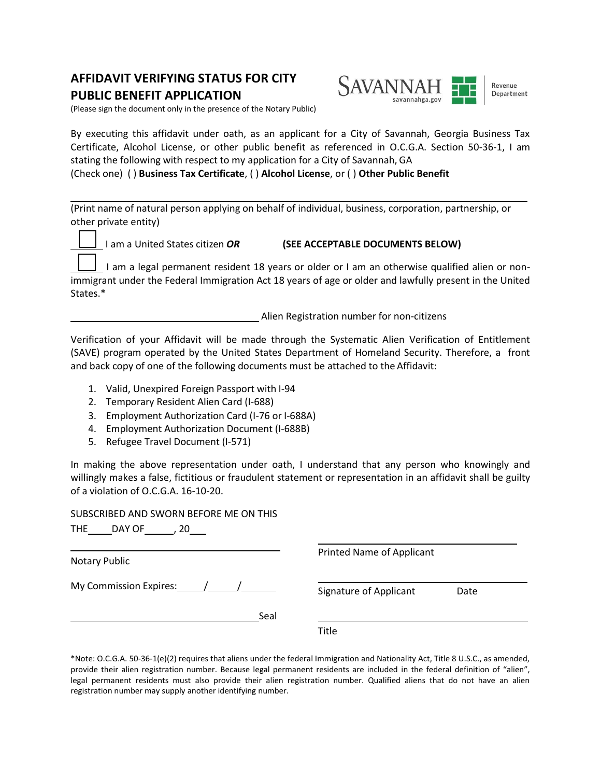#### **AFFIDAVIT VERIFYING STATUS FOR CITY PUBLIC BENEFIT APPLICATION**



(Please sign the document only in the presence of the Notary Public)

By executing this affidavit under oath, as an applicant for a City of Savannah, Georgia Business Tax Certificate, Alcohol License, or other public benefit as referenced in O.C.G.A. Section 50-36-1, I am stating the following with respect to my application for a City of Savannah, GA

(Check one) ( ) **Business Tax Certificate**, ( ) **Alcohol License**, or ( ) **Other Public Benefit**

(Print name of natural person applying on behalf of individual, business, corporation, partnership, or other private entity)

I am a United States citizen *OR* **(SEE ACCEPTABLE DOCUMENTS BELOW)** 

 I am a legal permanent resident 18 years or older or I am an otherwise qualified alien or nonimmigrant under the Federal Immigration Act 18 years of age or older and lawfully present in the United States.\*

Alien Registration number for non-citizens

Verification of your Affidavit will be made through the Systematic Alien Verification of Entitlement (SAVE) program operated by the United States Department of Homeland Security. Therefore, a front and back copy of one of the following documents must be attached to the Affidavit:

- 1. Valid, Unexpired Foreign Passport with I-94
- 2. Temporary Resident Alien Card (I-688)
- 3. Employment Authorization Card (I-76 or I-688A)
- 4. Employment Authorization Document (I-688B)
- 5. Refugee Travel Document (I-571)

In making the above representation under oath, I understand that any person who knowingly and willingly makes a false, fictitious or fraudulent statement or representation in an affidavit shall be guilty of a violation of O.C.G.A. 16-10-20.

SUBSCRIBED AND SWORN BEFORE ME ON THIS

| THE DAY OF<br>.20                      |                                  |      |  |
|----------------------------------------|----------------------------------|------|--|
| Notary Public                          | <b>Printed Name of Applicant</b> |      |  |
| My Commission Expires: $\frac{1}{2}$ / | Signature of Applicant           | Date |  |
| Seal                                   |                                  |      |  |
|                                        | Title                            |      |  |

\*Note: O.C.G.A. 50-36-1(e)(2) requires that aliens under the federal Immigration and Nationality Act, Title 8 U.S.C., as amended, provide their alien registration number. Because legal permanent residents are included in the federal definition of "alien", legal permanent residents must also provide their alien registration number. Qualified aliens that do not have an alien registration number may supply another identifying number.